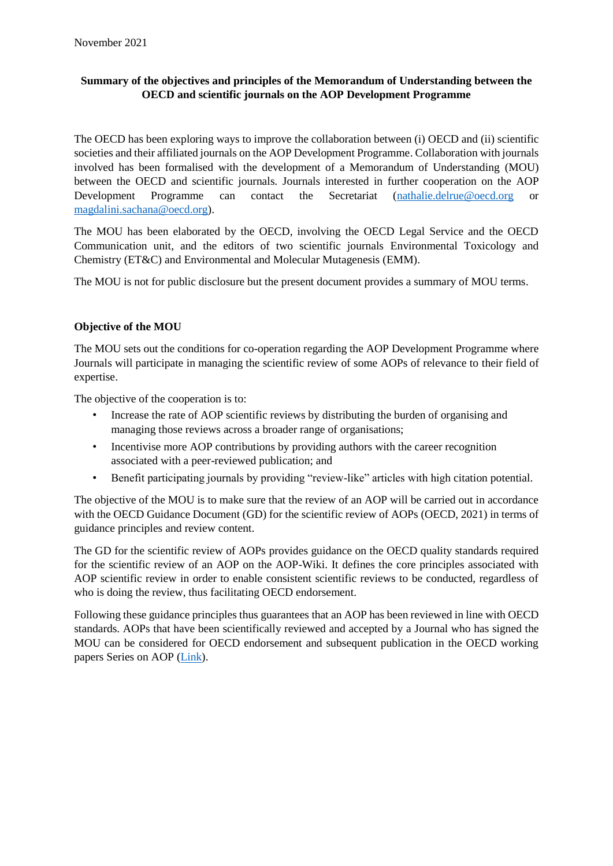# **Summary of the objectives and principles of the Memorandum of Understanding between the OECD and scientific journals on the AOP Development Programme**

The OECD has been exploring ways to improve the collaboration between (i) OECD and (ii) scientific societies and their affiliated journals on the AOP Development Programme. Collaboration with journals involved has been formalised with the development of a Memorandum of Understanding (MOU) between the OECD and scientific journals. Journals interested in further cooperation on the AOP Development Programme can contact the Secretariat [\(nathalie.delrue@oecd.org](mailto:nathalie.delrue@oecd.org) or [magdalini.sachana@oecd.org\)](mailto:magdalini.sachana@oecd.org).

The MOU has been elaborated by the OECD, involving the OECD Legal Service and the OECD Communication unit, and the editors of two scientific journals Environmental Toxicology and Chemistry (ET&C) and Environmental and Molecular Mutagenesis (EMM).

The MOU is not for public disclosure but the present document provides a summary of MOU terms.

## **Objective of the MOU**

The MOU sets out the conditions for co-operation regarding the AOP Development Programme where Journals will participate in managing the scientific review of some AOPs of relevance to their field of expertise.

The objective of the cooperation is to:

- Increase the rate of AOP scientific reviews by distributing the burden of organising and managing those reviews across a broader range of organisations;
- Incentivise more AOP contributions by providing authors with the career recognition associated with a peer-reviewed publication; and
- Benefit participating journals by providing "review-like" articles with high citation potential.

The objective of the MOU is to make sure that the review of an AOP will be carried out in accordance with the OECD Guidance Document (GD) for the scientific review of AOPs (OECD, 2021) in terms of guidance principles and review content.

The GD for the scientific review of AOPs provides guidance on the OECD quality standards required for the scientific review of an AOP on the AOP-Wiki. It defines the core principles associated with AOP scientific review in order to enable consistent scientific reviews to be conducted, regardless of who is doing the review, thus facilitating OECD endorsement.

Following these guidance principles thus guarantees that an AOP has been reviewed in line with OECD standards. AOPs that have been scientifically reviewed and accepted by a Journal who has signed the MOU can be considered for OECD endorsement and subsequent publication in the OECD working papers Series on AOP [\(Link\)](https://www.oecd-ilibrary.org/environment/oecd-series-on-adverse-outcome-pathways_2415170x).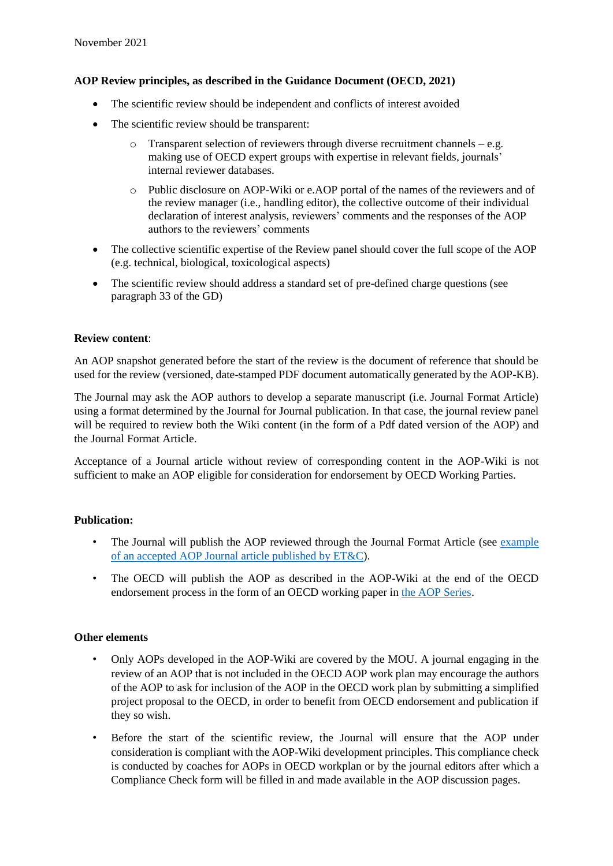### **AOP Review principles, as described in the Guidance Document (OECD, 2021)**

- The scientific review should be independent and conflicts of interest avoided
- The scientific review should be transparent:
	- $\circ$  Transparent selection of reviewers through diverse recruitment channels e.g. making use of OECD expert groups with expertise in relevant fields, journals' internal reviewer databases.
	- o Public disclosure on AOP-Wiki or e.AOP portal of the names of the reviewers and of the review manager (i.e., handling editor), the collective outcome of their individual declaration of interest analysis, reviewers' comments and the responses of the AOP authors to the reviewers' comments
- The collective scientific expertise of the Review panel should cover the full scope of the AOP (e.g. technical, biological, toxicological aspects)
- The scientific review should address a standard set of pre-defined charge questions (see paragraph 33 of the GD)

### **Review content**:

An AOP snapshot generated before the start of the review is the document of reference that should be used for the review (versioned, date-stamped PDF document automatically generated by the AOP-KB).

The Journal may ask the AOP authors to develop a separate manuscript (i.e. Journal Format Article) using a format determined by the Journal for Journal publication. In that case, the journal review panel will be required to review both the Wiki content (in the form of a Pdf dated version of the AOP) and the Journal Format Article.

Acceptance of a Journal article without review of corresponding content in the AOP-Wiki is not sufficient to make an AOP eligible for consideration for endorsement by OECD Working Parties.

#### **Publication:**

- The Journal will publish the AOP reviewed through the Journal Format Article (see [example](https://setac.onlinelibrary.wiley.com/doi/full/10.1002/etc.5197)  of an accepted AOP [Journal article published by ET&C\)](https://setac.onlinelibrary.wiley.com/doi/full/10.1002/etc.5197).
- The OECD will publish the AOP as described in the AOP-Wiki at the end of the OECD endorsement process in the form of an OECD working paper in [the AOP Series.](https://www.oecd-ilibrary.org/environment/oecd-series-on-adverse-outcome-pathways_2415170x)

### **Other elements**

- Only AOPs developed in the AOP-Wiki are covered by the MOU. A journal engaging in the review of an AOP that is not included in the OECD AOP work plan may encourage the authors of the AOP to ask for inclusion of the AOP in the OECD work plan by submitting a simplified project proposal to the OECD, in order to benefit from OECD endorsement and publication if they so wish.
- Before the start of the scientific review, the Journal will ensure that the AOP under consideration is compliant with the AOP-Wiki development principles. This compliance check is conducted by coaches for AOPs in OECD workplan or by the journal editors after which a Compliance Check form will be filled in and made available in the AOP discussion pages.